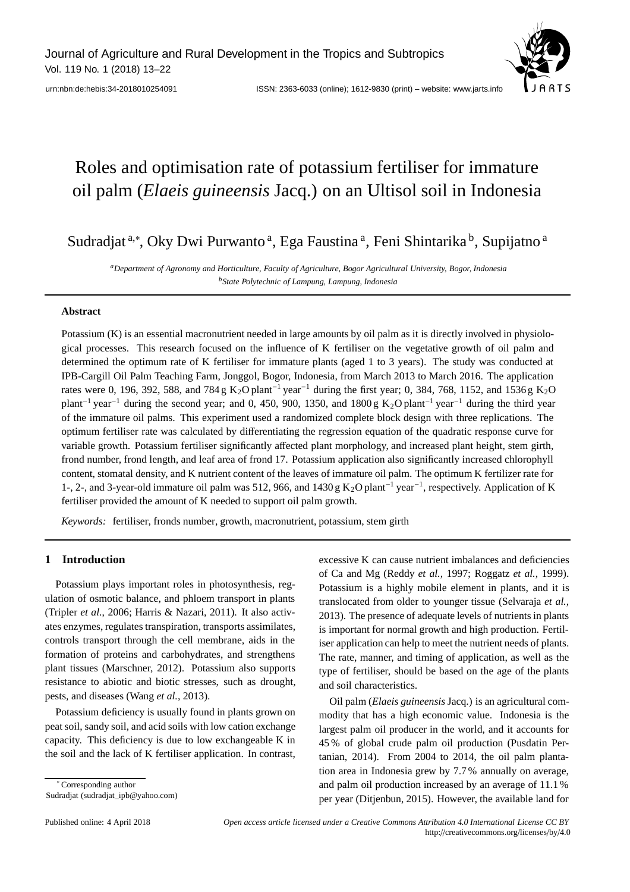

urn:nbn:de:hebis:34-2018010254091 ISSN: 2363-6033 (online); 1612-9830 (print) – website: www.jarts.info

# Roles and optimisation rate of potassium fertiliser for immature oil palm (*Elaeis guineensis* Jacq.) on an Ultisol soil in Indonesia

Sudradjat<sup>a,∗</sup>, Oky Dwi Purwanto<sup>a</sup>, Ega Faustina<sup>a</sup>, Feni Shintarika b, Supijatno <sup>a</sup>

*aDepartment of Agronomy and Horticulture, Faculty of Agriculture, Bogor Agricultural University, Bogor, Indonesia bState Polytechnic of Lampung, Lampung, Indonesia*

# **Abstract**

Potassium (K) is an essential macronutrient needed in large amounts by oil palm as it is directly involved in physiological processes. This research focused on the influence of K fertiliser on the vegetative growth of oil palm and determined the optimum rate of K fertiliser for immature plants (aged 1 to 3 years). The study was conducted at IPB-Cargill Oil Palm Teaching Farm, Jonggol, Bogor, Indonesia, from March 2013 to March 2016. The application rates were 0, 196, 392, 588, and 784 g K<sub>2</sub>O plant<sup>-1</sup> year<sup>-1</sup> during the first year; 0, 384, 768, 1152, and 1536 g K<sub>2</sub>O plant<sup>-1</sup> year<sup>-1</sup> during the second year; and 0, 450, 900, 1350, and 1800 g K<sub>2</sub>O plant<sup>-1</sup> year<sup>-1</sup> during the third year of the immature oil palms. This experiment used a randomized complete block design with three replications. The optimum fertiliser rate was calculated by differentiating the regression equation of the quadratic response curve for variable growth. Potassium fertiliser significantly affected plant morphology, and increased plant height, stem girth, frond number, frond length, and leaf area of frond 17. Potassium application also significantly increased chlorophyll content, stomatal density, and K nutrient content of the leaves of immature oil palm. The optimum K fertilizer rate for 1-, 2-, and 3-year-old immature oil palm was 512, 966, and 1430 g K2O plant−<sup>1</sup> year−1, respectively. Application of K fertiliser provided the amount of K needed to support oil palm growth.

*Keywords:* fertiliser, fronds number, growth, macronutrient, potassium, stem girth

# **1 Introduction**

Potassium plays important roles in photosynthesis, regulation of osmotic balance, and phloem transport in plants (Tripler *et al.*, 2006; Harris & Nazari, 2011). It also activates enzymes, regulates transpiration, transports assimilates, controls transport through the cell membrane, aids in the formation of proteins and carbohydrates, and strengthens plant tissues (Marschner, 2012). Potassium also supports resistance to abiotic and biotic stresses, such as drought, pests, and diseases (Wang *et al.*, 2013).

Potassium deficiency is usually found in plants grown on peat soil, sandy soil, and acid soils with low cation exchange capacity. This deficiency is due to low exchangeable K in the soil and the lack of K fertiliser application. In contrast,

∗ Corresponding author Sudradjat (sudradjat\_ipb@yahoo.com) excessive K can cause nutrient imbalances and deficiencies of Ca and Mg (Reddy *et al.*, 1997; Roggatz *et al.*, 1999). Potassium is a highly mobile element in plants, and it is translocated from older to younger tissue (Selvaraja *et al.*, 2013). The presence of adequate levels of nutrients in plants is important for normal growth and high production. Fertiliser application can help to meet the nutrient needs of plants. The rate, manner, and timing of application, as well as the type of fertiliser, should be based on the age of the plants and soil characteristics.

Oil palm (*Elaeis guineensis* Jacq.) is an agricultural commodity that has a high economic value. Indonesia is the largest palm oil producer in the world, and it accounts for 45 % of global crude palm oil production (Pusdatin Pertanian, 2014). From 2004 to 2014, the oil palm plantation area in Indonesia grew by 7.7 % annually on average, and palm oil production increased by an average of 11.1 % per year (Ditjenbun, 2015). However, the available land for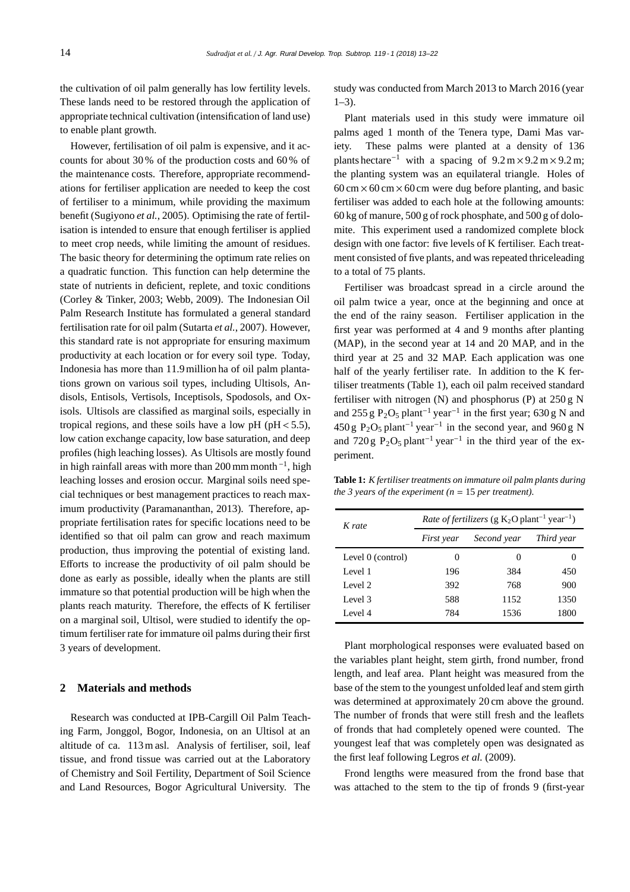the cultivation of oil palm generally has low fertility levels. These lands need to be restored through the application of appropriate technical cultivation (intensification of land use) to enable plant growth.

However, fertilisation of oil palm is expensive, and it accounts for about 30 % of the production costs and 60 % of the maintenance costs. Therefore, appropriate recommendations for fertiliser application are needed to keep the cost of fertiliser to a minimum, while providing the maximum benefit (Sugiyono *et al.*, 2005). Optimising the rate of fertilisation is intended to ensure that enough fertiliser is applied to meet crop needs, while limiting the amount of residues. The basic theory for determining the optimum rate relies on a quadratic function. This function can help determine the state of nutrients in deficient, replete, and toxic conditions (Corley & Tinker, 2003; Webb, 2009). The Indonesian Oil Palm Research Institute has formulated a general standard fertilisation rate for oil palm (Sutarta *et al.*, 2007). However, this standard rate is not appropriate for ensuring maximum productivity at each location or for every soil type. Today, Indonesia has more than 11.9 million ha of oil palm plantations grown on various soil types, including Ultisols, Andisols, Entisols, Vertisols, Inceptisols, Spodosols, and Oxisols. Ultisols are classified as marginal soils, especially in tropical regions, and these soils have a low pH ( $pH < 5.5$ ). low cation exchange capacity, low base saturation, and deep profiles (high leaching losses). As Ultisols are mostly found in high rainfall areas with more than 200 mm month  $^{-1}$ , high leaching losses and erosion occur. Marginal soils need special techniques or best management practices to reach maximum productivity (Paramananthan, 2013). Therefore, appropriate fertilisation rates for specific locations need to be identified so that oil palm can grow and reach maximum production, thus improving the potential of existing land. Efforts to increase the productivity of oil palm should be done as early as possible, ideally when the plants are still immature so that potential production will be high when the plants reach maturity. Therefore, the effects of K fertiliser on a marginal soil, Ultisol, were studied to identify the optimum fertiliser rate for immature oil palms during their first 3 years of development.

# **2 Materials and methods**

Research was conducted at IPB-Cargill Oil Palm Teaching Farm, Jonggol, Bogor, Indonesia, on an Ultisol at an altitude of ca. 113 m asl. Analysis of fertiliser, soil, leaf tissue, and frond tissue was carried out at the Laboratory of Chemistry and Soil Fertility, Department of Soil Science and Land Resources, Bogor Agricultural University. The study was conducted from March 2013 to March 2016 (year  $1-3$ ).

Plant materials used in this study were immature oil palms aged 1 month of the Tenera type, Dami Mas variety. These palms were planted at a density of 136 plants hectare<sup>-1</sup> with a spacing of  $9.2 \text{ m} \times 9.2 \text{ m} \times 9.2 \text{ m}$ ; the planting system was an equilateral triangle. Holes of  $60 \text{ cm} \times 60 \text{ cm} \times 60 \text{ cm}$  were dug before planting, and basic fertiliser was added to each hole at the following amounts: 60 kg of manure, 500 g of rock phosphate, and 500 g of dolomite. This experiment used a randomized complete block design with one factor: five levels of K fertiliser. Each treatment consisted of five plants, and was repeated thriceleading to a total of 75 plants.

Fertiliser was broadcast spread in a circle around the oil palm twice a year, once at the beginning and once at the end of the rainy season. Fertiliser application in the first year was performed at 4 and 9 months after planting (MAP), in the second year at 14 and 20 MAP, and in the third year at 25 and 32 MAP. Each application was one half of the yearly fertiliser rate. In addition to the K fertiliser treatments (Table 1), each oil palm received standard fertiliser with nitrogen (N) and phosphorus (P) at 250 g N and 255 g P<sub>2</sub>O<sub>5</sub> plant<sup>-1</sup> year<sup>-1</sup> in the first year; 630 g N and 450 g P<sub>2</sub>O<sub>5</sub> plant<sup>-1</sup> year<sup>-1</sup> in the second year, and 960 g N and 720 g P<sub>2</sub>O<sub>5</sub> plant<sup>-1</sup> year<sup>-1</sup> in the third year of the experiment.

**Table 1:** *K fertiliser treatments on immature oil palm plants during the 3 years of the experiment (n* = 15 *per treatment).*

| K rate            | <i>Rate of fertilizers</i> (g $K_2O$ plant <sup>-1</sup> year <sup>-1</sup> ) |             |            |  |  |
|-------------------|-------------------------------------------------------------------------------|-------------|------------|--|--|
|                   | First year                                                                    | Second year | Third year |  |  |
| Level 0 (control) | $\theta$                                                                      | $\theta$    | 0          |  |  |
| Level 1           | 196                                                                           | 384         | 450        |  |  |
| Level 2           | 392                                                                           | 768         | 900        |  |  |
| Level 3           | 588                                                                           | 1152        | 1350       |  |  |
| Level 4           | 784                                                                           | 1536        | 1800       |  |  |

Plant morphological responses were evaluated based on the variables plant height, stem girth, frond number, frond length, and leaf area. Plant height was measured from the base of the stem to the youngest unfolded leaf and stem girth was determined at approximately 20 cm above the ground. The number of fronds that were still fresh and the leaflets of fronds that had completely opened were counted. The youngest leaf that was completely open was designated as the first leaf following Legros *et al.* (2009).

Frond lengths were measured from the frond base that was attached to the stem to the tip of fronds 9 (first-year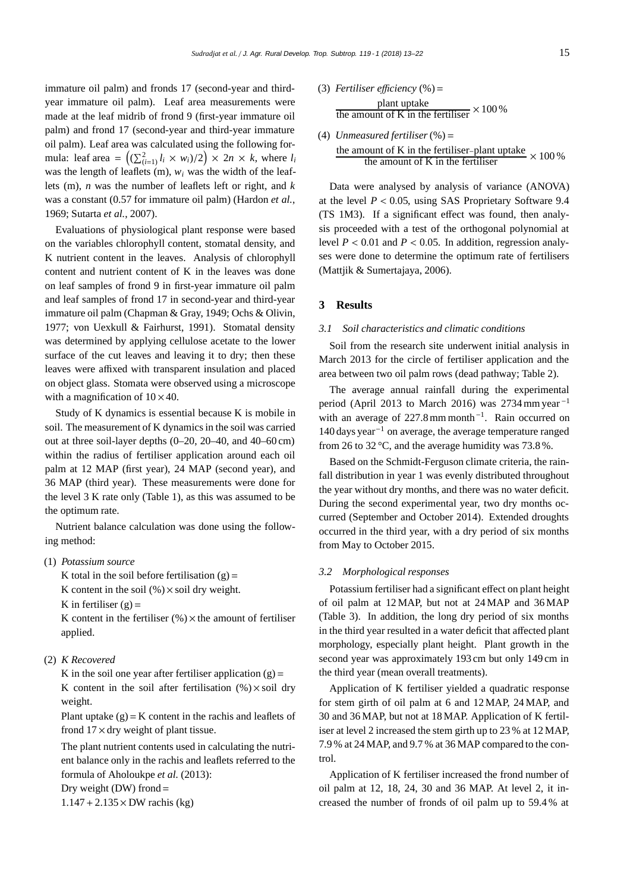immature oil palm) and fronds 17 (second-year and thirdyear immature oil palm). Leaf area measurements were made at the leaf midrib of frond 9 (first-year immature oil palm) and frond 17 (second-year and third-year immature oil palm). Leaf area was calculated using the following formula: leaf area =  $((\sum_{i=1}^{2} l_i \times w_i)/2) \times 2n \times k$ , where  $l_i$ was the length of leaflets (m), *wi* was the width of the leaflets (m), *n* was the number of leaflets left or right, and *k* was a constant (0.57 for immature oil palm) (Hardon *et al.*, 1969; Sutarta *et al.*, 2007).

Evaluations of physiological plant response were based on the variables chlorophyll content, stomatal density, and K nutrient content in the leaves. Analysis of chlorophyll content and nutrient content of K in the leaves was done on leaf samples of frond 9 in first-year immature oil palm and leaf samples of frond 17 in second-year and third-year immature oil palm (Chapman & Gray, 1949; Ochs & Olivin, 1977; von Uexkull & Fairhurst, 1991). Stomatal density was determined by applying cellulose acetate to the lower surface of the cut leaves and leaving it to dry; then these leaves were affixed with transparent insulation and placed on object glass. Stomata were observed using a microscope with a magnification of  $10 \times 40$ .

Study of K dynamics is essential because K is mobile in soil. The measurement of K dynamics in the soil was carried out at three soil-layer depths (0–20, 20–40, and 40–60 cm) within the radius of fertiliser application around each oil palm at 12 MAP (first year), 24 MAP (second year), and 36 MAP (third year). These measurements were done for the level 3 K rate only (Table 1), as this was assumed to be the optimum rate.

Nutrient balance calculation was done using the following method:

(1) *Potassium source*

K total in the soil before fertilisation  $(g)$  =

K content in the soil  $(\%) \times$  soil dry weight.

K in fertiliser  $(g)$  =

K content in the fertiliser  $(\%) \times$  the amount of fertiliser applied.

#### (2) *K Recovered*

K in the soil one year after fertiliser application  $(g)$  = K content in the soil after fertilisation  $(\%) \times$  soil dry weight.

Plant uptake  $(g) = K$  content in the rachis and leaflets of frond  $17 \times$  dry weight of plant tissue.

The plant nutrient contents used in calculating the nutrient balance only in the rachis and leaflets referred to the formula of Aholoukpe *et al.* (2013):

Dry weight (DW) frond  $=$ 

 $1.147 + 2.135 \times DW$  rachis (kg)

(3) *Fertiliser efficiency* (%) = 
$$
plant uptake
$$
   
\nthe amount of K in the fertilizer  $\times$  100 %

(4) *Unmeasured fertiliser*(%) = the amount of K in the fertiliser–plant uptake  $\times 100\%$ 

Data were analysed by analysis of variance (ANOVA) at the level  $P < 0.05$ , using SAS Proprietary Software 9.4 (TS 1M3). If a significant effect was found, then analysis proceeded with a test of the orthogonal polynomial at level  $P < 0.01$  and  $P < 0.05$ . In addition, regression analyses were done to determine the optimum rate of fertilisers (Mattjik & Sumertajaya, 2006).

### **3 Results**

#### *3.1 Soil characteristics and climatic conditions*

Soil from the research site underwent initial analysis in March 2013 for the circle of fertiliser application and the area between two oil palm rows (dead pathway; Table 2).

The average annual rainfall during the experimental period (April 2013 to March 2016) was 2734 mm year $^{-1}$ with an average of 227.8 mm month<sup>-1</sup>. Rain occurred on 140 days year−<sup>1</sup> on average, the average temperature ranged from 26 to 32 °C, and the average humidity was 73.8 %.

Based on the Schmidt-Ferguson climate criteria, the rainfall distribution in year 1 was evenly distributed throughout the year without dry months, and there was no water deficit. During the second experimental year, two dry months occurred (September and October 2014). Extended droughts occurred in the third year, with a dry period of six months from May to October 2015.

#### *3.2 Morphological responses*

Potassium fertiliser had a significant effect on plant height of oil palm at 12 MAP, but not at 24 MAP and 36 MAP (Table 3). In addition, the long dry period of six months in the third year resulted in a water deficit that affected plant morphology, especially plant height. Plant growth in the second year was approximately 193 cm but only 149 cm in the third year (mean overall treatments).

Application of K fertiliser yielded a quadratic response for stem girth of oil palm at 6 and 12 MAP, 24 MAP, and 30 and 36 MAP, but not at 18 MAP. Application of K fertiliser at level 2 increased the stem girth up to 23 % at 12 MAP, 7.9 % at 24 MAP, and 9.7 % at 36 MAP compared to the control.

Application of K fertiliser increased the frond number of oil palm at 12, 18, 24, 30 and 36 MAP. At level 2, it increased the number of fronds of oil palm up to 59.4 % at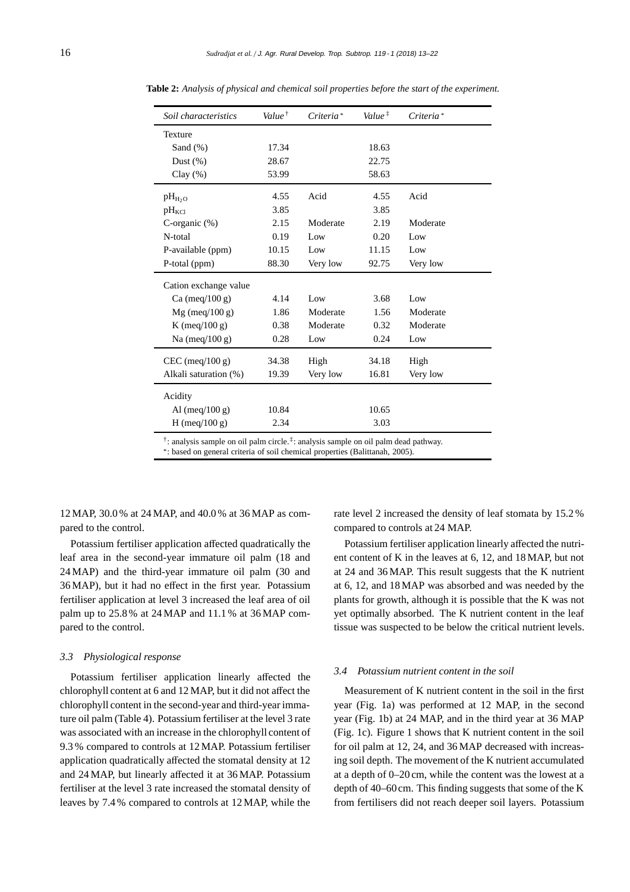| Soil characteristics                                                                                        | Value <sup><math>\dagger</math></sup> | Criteria <sup>*</sup> | Value <sup>#</sup> | Criteria <sup>*</sup> |  |
|-------------------------------------------------------------------------------------------------------------|---------------------------------------|-----------------------|--------------------|-----------------------|--|
| Texture                                                                                                     |                                       |                       |                    |                       |  |
| Sand $(\%)$                                                                                                 | 17.34                                 |                       | 18.63              |                       |  |
| Dust $(\%)$                                                                                                 | 28.67                                 |                       | 22.75              |                       |  |
| Clay $(\% )$                                                                                                | 53.99                                 |                       | 58.63              |                       |  |
| $pH_{H2}$                                                                                                   | 4.55                                  | Acid                  | 4.55               | Acid                  |  |
| $pH_{\text{KCl}}$                                                                                           | 3.85                                  |                       | 3.85               |                       |  |
| C-organic $(\%)$                                                                                            | 2.15                                  | Moderate              | 2.19               | Moderate              |  |
| N-total                                                                                                     | 0.19                                  | Low                   | 0.20               | Low                   |  |
| P-available (ppm)                                                                                           | 10.15                                 | Low                   | 11.15              | Low                   |  |
| P-total (ppm)                                                                                               | 88.30                                 | Very low              | 92.75              | Very low              |  |
| Cation exchange value                                                                                       |                                       |                       |                    |                       |  |
| Ca (meq/100 g)                                                                                              | 4.14                                  | Low                   | 3.68               | Low                   |  |
| $Mg$ (meq/100 g)                                                                                            | 1.86                                  | Moderate              | 1.56               | Moderate              |  |
| K (meq/100 g)                                                                                               | 0.38                                  | Moderate              | 0.32               | Moderate              |  |
| Na (meq/100 g)                                                                                              | 0.28                                  | Low                   | 0.24               | Low                   |  |
| $CEC$ (meq/100 g)                                                                                           | 34.38                                 | High                  | 34.18              | High                  |  |
| Alkali saturation (%)                                                                                       | 19.39                                 | Very low              | 16.81              | Very low              |  |
| Acidity                                                                                                     |                                       |                       |                    |                       |  |
| Al $(meq/100 g)$                                                                                            | 10.84                                 |                       | 10.65              |                       |  |
| H (meq/100 g)                                                                                               | 2.34                                  |                       | 3.03               |                       |  |
| $\dot{\tau}$ : analysis sample on oil palm circle. $\dot{\tau}$ : analysis sample on oil palm dead pathway. |                                       |                       |                    |                       |  |

**Table 2:** *Analysis of physical and chemical soil properties before the start of the experiment.*

†: analysis sample on oil palm circle.‡: analysis sample on oil palm dead pathway.

\*: based on general criteria of soil chemical properties (Balittanah, 2005).

12 MAP, 30.0 % at 24 MAP, and 40.0 % at 36 MAP as compared to the control.

Potassium fertiliser application affected quadratically the leaf area in the second-year immature oil palm (18 and 24 MAP) and the third-year immature oil palm (30 and 36 MAP), but it had no effect in the first year. Potassium fertiliser application at level 3 increased the leaf area of oil palm up to 25.8 % at 24 MAP and 11.1 % at 36 MAP compared to the control.

#### *3.3 Physiological response*

Potassium fertiliser application linearly affected the chlorophyll content at 6 and 12 MAP, but it did not affect the chlorophyll content in the second-year and third-year immature oil palm (Table 4). Potassium fertiliser at the level 3 rate was associated with an increase in the chlorophyll content of 9.3 % compared to controls at 12 MAP. Potassium fertiliser application quadratically affected the stomatal density at 12 and 24 MAP, but linearly affected it at 36 MAP. Potassium fertiliser at the level 3 rate increased the stomatal density of leaves by 7.4 % compared to controls at 12 MAP, while the

rate level 2 increased the density of leaf stomata by 15.2 % compared to controls at 24 MAP.

Potassium fertiliser application linearly affected the nutrient content of K in the leaves at 6, 12, and 18 MAP, but not at 24 and 36 MAP. This result suggests that the K nutrient at 6, 12, and 18 MAP was absorbed and was needed by the plants for growth, although it is possible that the K was not yet optimally absorbed. The K nutrient content in the leaf tissue was suspected to be below the critical nutrient levels.

#### *3.4 Potassium nutrient content in the soil*

Measurement of K nutrient content in the soil in the first year (Fig. 1a) was performed at 12 MAP, in the second year (Fig. 1b) at 24 MAP, and in the third year at 36 MAP (Fig. 1c). Figure 1 shows that K nutrient content in the soil for oil palm at 12, 24, and 36 MAP decreased with increasing soil depth. The movement of the K nutrient accumulated at a depth of 0–20 cm, while the content was the lowest at a depth of 40–60 cm. This finding suggests that some of the K from fertilisers did not reach deeper soil layers. Potassium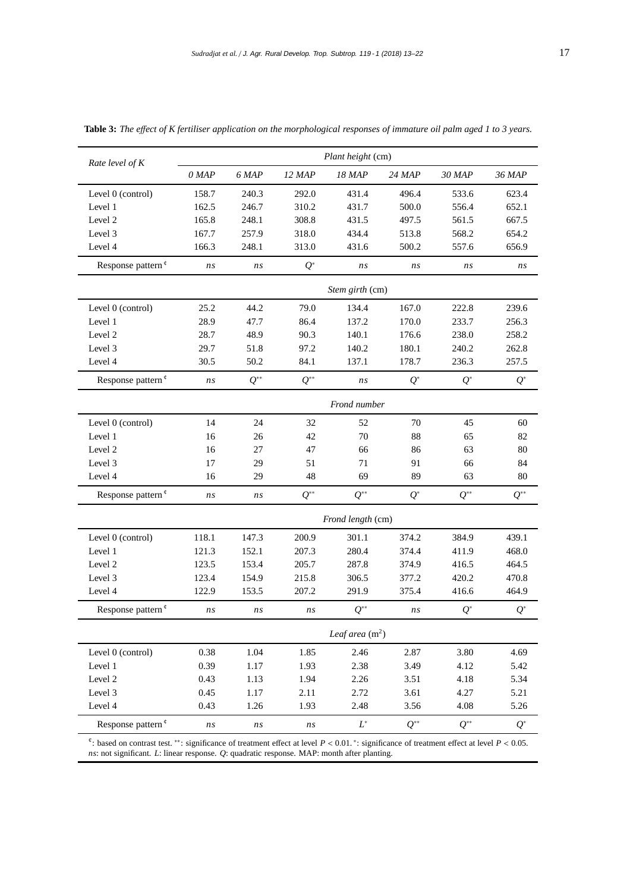| Rate level of $K$                                                                                                                                                                                                                                     | Plant height (cm) |          |          |                   |          |          |          |
|-------------------------------------------------------------------------------------------------------------------------------------------------------------------------------------------------------------------------------------------------------|-------------------|----------|----------|-------------------|----------|----------|----------|
|                                                                                                                                                                                                                                                       | $0$ MAP           | 6 MAP    | 12 MAP   | 18 MAP            | 24 MAP   | 30 MAP   | 36 MAP   |
| Level 0 (control)                                                                                                                                                                                                                                     | 158.7             | 240.3    | 292.0    | 431.4             | 496.4    | 533.6    | 623.4    |
| Level 1                                                                                                                                                                                                                                               | 162.5             | 246.7    | 310.2    | 431.7             | 500.0    | 556.4    | 652.1    |
| Level 2                                                                                                                                                                                                                                               | 165.8             | 248.1    | 308.8    | 431.5             | 497.5    | 561.5    | 667.5    |
| Level 3                                                                                                                                                                                                                                               | 167.7             | 257.9    | 318.0    | 434.4             | 513.8    | 568.2    | 654.2    |
| Level 4                                                                                                                                                                                                                                               | 166.3             | 248.1    | 313.0    | 431.6             | 500.2    | 557.6    | 656.9    |
| Response pattern <sup>¢</sup>                                                                                                                                                                                                                         | ns                | ns       | $Q^*$    | ns                | ns       | ns       | ns       |
|                                                                                                                                                                                                                                                       |                   |          |          | Stem girth (cm)   |          |          |          |
| Level 0 (control)                                                                                                                                                                                                                                     | 25.2              | 44.2     | 79.0     | 134.4             | 167.0    | 222.8    | 239.6    |
| Level 1                                                                                                                                                                                                                                               | 28.9              | 47.7     | 86.4     | 137.2             | 170.0    | 233.7    | 256.3    |
| Level 2                                                                                                                                                                                                                                               | 28.7              | 48.9     | 90.3     | 140.1             | 176.6    | 238.0    | 258.2    |
| Level 3                                                                                                                                                                                                                                               | 29.7              | 51.8     | 97.2     | 140.2             | 180.1    | 240.2    | 262.8    |
| Level 4                                                                                                                                                                                                                                               | 30.5              | 50.2     | 84.1     | 137.1             | 178.7    | 236.3    | 257.5    |
| Response pattern <sup>¢</sup>                                                                                                                                                                                                                         | ns                | $Q^{**}$ | $Q^{**}$ | ns                | $Q^*$    | $Q^*$    | $Q^*$    |
|                                                                                                                                                                                                                                                       | Frond number      |          |          |                   |          |          |          |
| Level 0 (control)                                                                                                                                                                                                                                     | 14                | 24       | 32       | 52                | 70       | 45       | 60       |
| Level 1                                                                                                                                                                                                                                               | 16                | 26       | 42       | 70                | 88       | 65       | 82       |
| Level 2                                                                                                                                                                                                                                               | 16                | 27       | 47       | 66                | 86       | 63       | 80       |
| Level 3                                                                                                                                                                                                                                               | 17                | 29       | 51       | 71                | 91       | 66       | 84       |
| Level 4                                                                                                                                                                                                                                               | 16                | 29       | 48       | 69                | 89       | 63       | 80       |
| Response pattern <sup>¢</sup>                                                                                                                                                                                                                         | ns                | ns       | $Q^{**}$ | $O^{**}$          | $Q^*$    | $Q^{**}$ | $Q^{**}$ |
|                                                                                                                                                                                                                                                       |                   |          |          | Frond length (cm) |          |          |          |
| Level 0 (control)                                                                                                                                                                                                                                     | 118.1             | 147.3    | 200.9    | 301.1             | 374.2    | 384.9    | 439.1    |
| Level 1                                                                                                                                                                                                                                               | 121.3             | 152.1    | 207.3    | 280.4             | 374.4    | 411.9    | 468.0    |
| Level 2                                                                                                                                                                                                                                               | 123.5             | 153.4    | 205.7    | 287.8             | 374.9    | 416.5    | 464.5    |
| Level 3                                                                                                                                                                                                                                               | 123.4             | 154.9    | 215.8    | 306.5             | 377.2    | 420.2    | 470.8    |
| Level 4                                                                                                                                                                                                                                               | 122.9             | 153.5    | 207.2    | 291.9             | 375.4    | 416.6    | 464.9    |
| Response pattern <sup>¢</sup>                                                                                                                                                                                                                         | ns                | ns       | ns       | $Q^{**}$          | ns       | $Q^*$    | $Q^*$    |
|                                                                                                                                                                                                                                                       | Leaf area $(m^2)$ |          |          |                   |          |          |          |
| Level 0 (control)                                                                                                                                                                                                                                     | 0.38              | 1.04     | 1.85     | 2.46              | 2.87     | 3.80     | 4.69     |
| Level 1                                                                                                                                                                                                                                               | 0.39              | 1.17     | 1.93     | 2.38              | 3.49     | 4.12     | 5.42     |
| Level 2                                                                                                                                                                                                                                               | 0.43              | 1.13     | 1.94     | 2.26              | 3.51     | 4.18     | 5.34     |
| Level 3                                                                                                                                                                                                                                               | 0.45              | 1.17     | 2.11     | 2.72              | 3.61     | 4.27     | 5.21     |
| Level 4                                                                                                                                                                                                                                               | 0.43              | 1.26     | 1.93     | 2.48              | 3.56     | 4.08     | 5.26     |
| Response pattern <sup>¢</sup>                                                                                                                                                                                                                         | ns                | ns       | ns       | ${\cal L}^*$      | $Q^{**}$ | $Q^{**}$ | $Q^*$    |
| $\ell$ : based on contrast test. **: significance of treatment effect at level $P < 0.01$ .*: significance of treatment effect at level $P < 0.05$ .<br>$ns$ : not significant. L: linear response. Q: quadratic response. MAP: month after planting. |                   |          |          |                   |          |          |          |

**Table 3:** *The e*ff*ect of K fertiliser application on the morphological responses of immature oil palm aged 1 to 3 years.*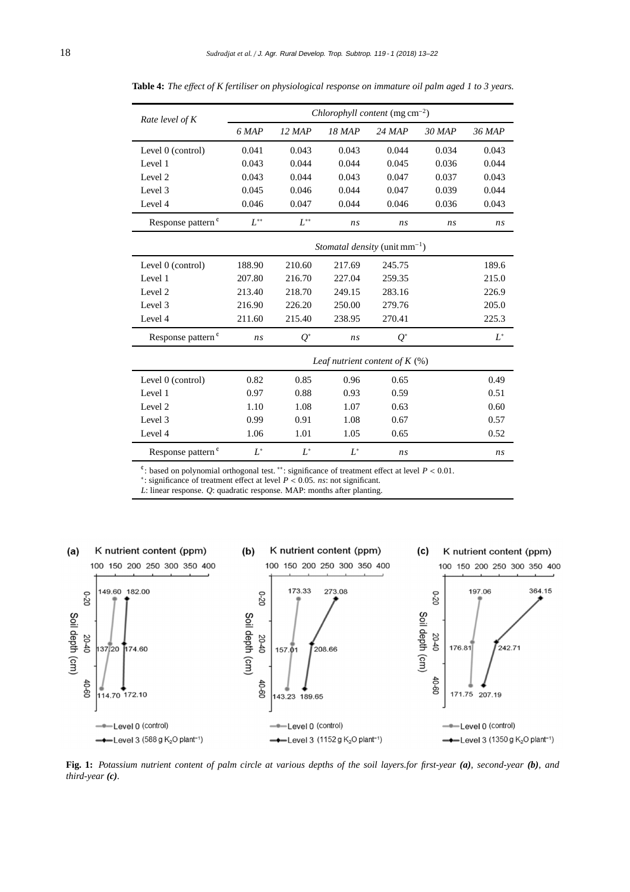| Rate level of K               | Chlorophyll content (mg $cm^{-2}$ ) |          |          |                                           |          |        |  |
|-------------------------------|-------------------------------------|----------|----------|-------------------------------------------|----------|--------|--|
|                               | 6 MAP                               | $12$ MAP | $18$ MAP | $24$ MAP                                  | $30$ MAP | 36 MAP |  |
| Level 0 (control)             | 0.041                               | 0.043    | 0.043    | 0.044                                     | 0.034    | 0.043  |  |
| Level 1                       | 0.043                               | 0.044    | 0.044    | 0.045                                     | 0.036    | 0.044  |  |
| Level 2                       | 0.043                               | 0.044    | 0.043    | 0.047                                     | 0.037    | 0.043  |  |
| Level 3                       | 0.045                               | 0.046    | 0.044    | 0.047                                     | 0.039    | 0.044  |  |
| Level 4                       | 0.046                               | 0.047    | 0.044    | 0.046                                     | 0.036    | 0.043  |  |
| Response pattern <sup>¢</sup> | $L^{**}$                            | $L^{**}$ | ns       | ns                                        | ns       | ns     |  |
|                               |                                     |          |          | <i>Stomatal density</i> (unit $mm^{-1}$ ) |          |        |  |
| Level 0 (control)             | 188.90                              | 210.60   | 217.69   | 245.75                                    |          | 189.6  |  |
| Level 1                       | 207.80                              | 216.70   | 227.04   | 259.35                                    |          | 215.0  |  |
| Level 2                       | 213.40                              | 218.70   | 249.15   | 283.16                                    |          | 226.9  |  |
| Level 3                       | 216.90                              | 226.20   | 250.00   | 279.76                                    |          | 205.0  |  |
| Level 4                       | 211.60                              | 215.40   | 238.95   | 270.41                                    |          | 225.3  |  |
| Response pattern <sup>¢</sup> | ns                                  | $Q^*$    | ns       | $Q^*$                                     |          | $L^*$  |  |
|                               | Leaf nutrient content of $K(\%)$    |          |          |                                           |          |        |  |
| Level 0 (control)             | 0.82                                | 0.85     | 0.96     | 0.65                                      |          | 0.49   |  |
| Level 1                       | 0.97                                | 0.88     | 0.93     | 0.59                                      |          | 0.51   |  |
| Level 2                       | 1.10                                | 1.08     | 1.07     | 0.63                                      |          | 0.60   |  |
| Level 3                       | 0.99                                | 0.91     | 1.08     | 0.67                                      |          | 0.57   |  |
| Level 4                       | 1.06                                | 1.01     | 1.05     | 0.65                                      |          | 0.52   |  |
| Response pattern <sup>¢</sup> | $L^*$                               | $L^*$    | $L^*$    | ns                                        |          | ns     |  |

**Table 4:** *The e*ff*ect of K fertiliser on physiological response on immature oil palm aged 1 to 3 years.*

¢: based on polynomial orthogonal test. ∗∗: significance of treatment effect at level *P* < 0.01.

∗: significance of treatment effect at level *P* < 0.05. *ns*: not significant.

*L*: linear response. *Q*: quadratic response. MAP: months after planting.



**Fig. 1:** *Potassium nutrient content of palm circle at various depths of the soil layers.for first-year (a), second-year (b), and third-year (c).*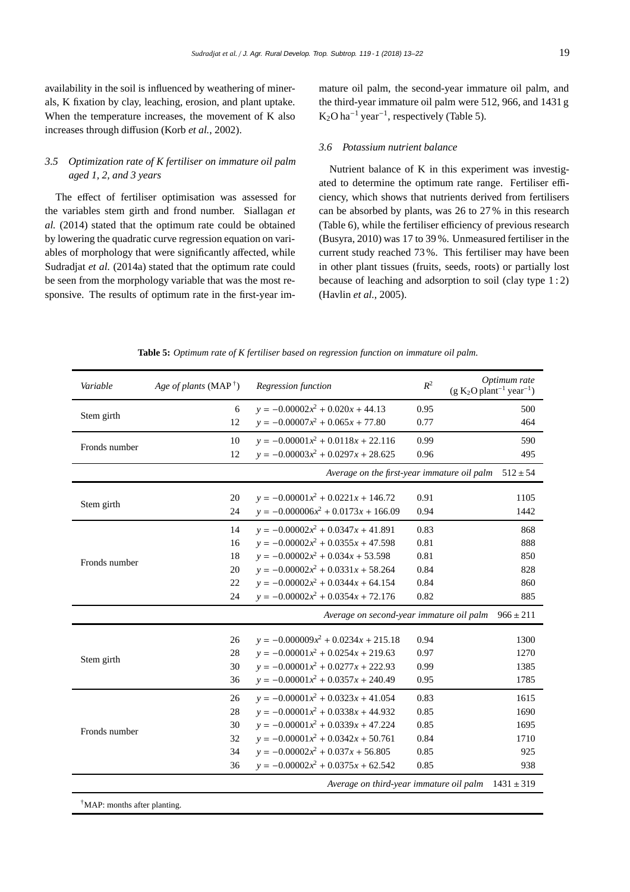availability in the soil is influenced by weathering of minerals, K fixation by clay, leaching, erosion, and plant uptake. When the temperature increases, the movement of K also increases through diffusion (Korb *et al.*, 2002).

# *3.5 Optimization rate of K fertiliser on immature oil palm aged 1, 2, and 3 years*

The effect of fertiliser optimisation was assessed for the variables stem girth and frond number. Siallagan *et al.* (2014) stated that the optimum rate could be obtained by lowering the quadratic curve regression equation on variables of morphology that were significantly affected, while Sudradjat *et al.* (2014a) stated that the optimum rate could be seen from the morphology variable that was the most responsive. The results of optimum rate in the first-year immature oil palm, the second-year immature oil palm, and the third-year immature oil palm were 512, 966, and 1431 g  $K_2O$  ha<sup>-1</sup> year<sup>-1</sup>, respectively (Table 5).

#### *3.6 Potassium nutrient balance*

Nutrient balance of K in this experiment was investigated to determine the optimum rate range. Fertiliser efficiency, which shows that nutrients derived from fertilisers can be absorbed by plants, was 26 to 27 % in this research (Table 6), while the fertiliser efficiency of previous research (Busyra, 2010) was 17 to 39 %. Unmeasured fertiliser in the current study reached 73 %. This fertiliser may have been in other plant tissues (fruits, seeds, roots) or partially lost because of leaching and adsorption to soil (clay type 1 : 2) (Havlin *et al.*, 2005).

| Variable                                 | Age of plants (MAP <sup>†</sup> ) | Regression function                         | $R^2$ | Optimum rate<br>$(g K2O plant-1 year-1)$ |
|------------------------------------------|-----------------------------------|---------------------------------------------|-------|------------------------------------------|
|                                          | 6                                 | $y = -0.00002x^2 + 0.020x + 44.13$          | 0.95  | 500                                      |
| Stem girth                               | 12                                | $y = -0.00007x^2 + 0.065x + 77.80$          | 0.77  | 464                                      |
|                                          | 10                                | $y = -0.00001x^2 + 0.0118x + 22.116$        | 0.99  | 590                                      |
| Fronds number                            | 12                                | $y = -0.00003x^{2} + 0.0297x + 28.625$      | 0.96  | 495                                      |
|                                          |                                   | Average on the first-year immature oil palm |       | $512 \pm 54$                             |
|                                          | 20                                | $y = -0.00001x^2 + 0.0221x + 146.72$        | 0.91  | 1105                                     |
| Stem girth                               | 24                                | $y = -0.000006x^2 + 0.0173x + 166.09$       | 0.94  | 1442                                     |
|                                          | 14                                | $y = -0.00002x^2 + 0.0347x + 41.891$        | 0.83  | 868                                      |
|                                          | 16                                | $y = -0.00002x^2 + 0.0355x + 47.598$        | 0.81  | 888                                      |
| Fronds number                            | 18                                | $y = -0.00002x^2 + 0.034x + 53.598$         | 0.81  | 850                                      |
|                                          | 20                                | $y = -0.00002x^2 + 0.0331x + 58.264$        | 0.84  | 828                                      |
|                                          | 22                                | $y = -0.00002x^2 + 0.0344x + 64.154$        | 0.84  | 860                                      |
|                                          | 24                                | $y = -0.00002x^2 + 0.0354x + 72.176$        | 0.82  | 885                                      |
|                                          |                                   | Average on second-year immature oil palm    |       | $966 \pm 211$                            |
|                                          | 26                                | $y = -0.000009x^2 + 0.0234x + 215.18$       | 0.94  | 1300                                     |
|                                          | 28                                | $y = -0.00001x^2 + 0.0254x + 219.63$        | 0.97  | 1270                                     |
| Stem girth                               | 30                                | $y = -0.00001x^{2} + 0.0277x + 222.93$      | 0.99  | 1385                                     |
|                                          | 36                                | $y = -0.00001x^{2} + 0.0357x + 240.49$      | 0.95  | 1785                                     |
|                                          | 26                                | $y = -0.00001x^2 + 0.0323x + 41.054$        | 0.83  | 1615                                     |
|                                          | 28                                | $y = -0.00001x^{2} + 0.0338x + 44.932$      | 0.85  | 1690                                     |
| Fronds number                            | 30                                | $y = -0.00001x^2 + 0.0339x + 47.224$        | 0.85  | 1695                                     |
|                                          | 32                                | $y = -0.00001x^{2} + 0.0342x + 50.761$      | 0.84  | 1710                                     |
|                                          | 34                                | $y = -0.00002x^2 + 0.037x + 56.805$         | 0.85  | 925                                      |
|                                          | 36                                | $y = -0.00002x^2 + 0.0375x + 62.542$        | 0.85  | 938                                      |
|                                          |                                   | Average on third-year immature oil palm     |       | $1431 \pm 319$                           |
| <sup>†</sup> MAP: months after planting. |                                   |                                             |       |                                          |

**Table 5:** *Optimum rate of K fertiliser based on regression function on immature oil palm.*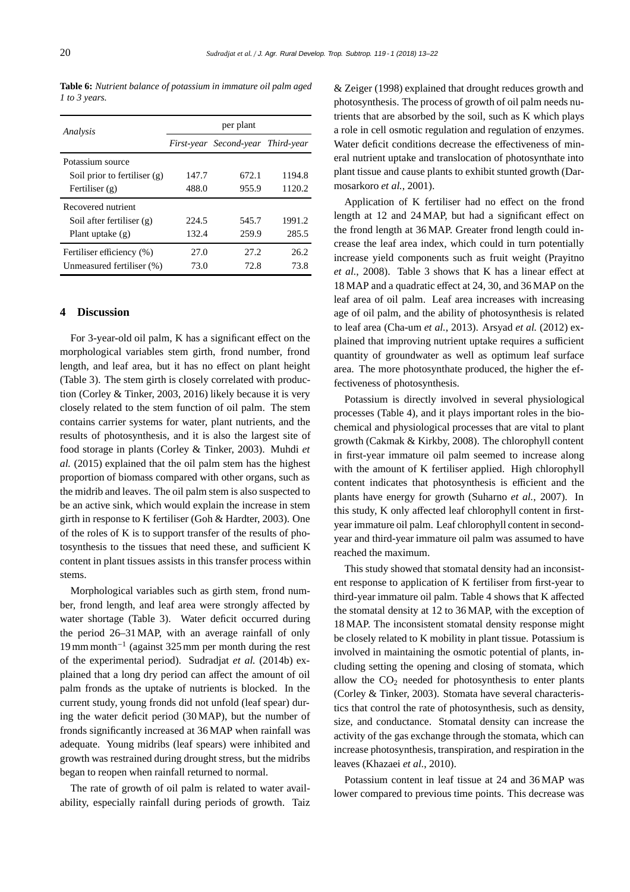**Table 6:** *Nutrient balance of potassium in immature oil palm aged 1 to 3 years.*

| Analysis                       | per plant |                                   |        |  |  |
|--------------------------------|-----------|-----------------------------------|--------|--|--|
|                                |           | First-year Second-year Third-year |        |  |  |
| Potassium source               |           |                                   |        |  |  |
| Soil prior to fertiliser $(g)$ | 147.7     | 672.1                             | 1194.8 |  |  |
| Fertiliser $(g)$               | 488.0     | 955.9                             | 1120.2 |  |  |
| Recovered nutrient             |           |                                   |        |  |  |
| Soil after fertiliser $(g)$    | 224.5     | 545.7                             | 1991.2 |  |  |
| Plant uptake $(g)$             | 132.4     | 259.9                             | 285.5  |  |  |
| Fertiliser efficiency (%)      | 27.0      | 27.2                              | 26.2   |  |  |
| Unmeasured fertiliser (%)      | 73.0      | 72.8                              | 73.8   |  |  |

#### **4 Discussion**

For 3-year-old oil palm, K has a significant effect on the morphological variables stem girth, frond number, frond length, and leaf area, but it has no effect on plant height (Table 3). The stem girth is closely correlated with production (Corley & Tinker, 2003, 2016) likely because it is very closely related to the stem function of oil palm. The stem contains carrier systems for water, plant nutrients, and the results of photosynthesis, and it is also the largest site of food storage in plants (Corley & Tinker, 2003). Muhdi *et al.* (2015) explained that the oil palm stem has the highest proportion of biomass compared with other organs, such as the midrib and leaves. The oil palm stem is also suspected to be an active sink, which would explain the increase in stem girth in response to K fertiliser (Goh & Hardter, 2003). One of the roles of K is to support transfer of the results of photosynthesis to the tissues that need these, and sufficient K content in plant tissues assists in this transfer process within stems.

Morphological variables such as girth stem, frond number, frond length, and leaf area were strongly affected by water shortage (Table 3). Water deficit occurred during the period 26–31MAP, with an average rainfall of only 19 mm month−<sup>1</sup> (against 325 mm per month during the rest of the experimental period). Sudradjat *et al.* (2014b) explained that a long dry period can affect the amount of oil palm fronds as the uptake of nutrients is blocked. In the current study, young fronds did not unfold (leaf spear) during the water deficit period (30 MAP), but the number of fronds significantly increased at 36 MAP when rainfall was adequate. Young midribs (leaf spears) were inhibited and growth was restrained during drought stress, but the midribs began to reopen when rainfall returned to normal.

The rate of growth of oil palm is related to water availability, especially rainfall during periods of growth. Taiz & Zeiger (1998) explained that drought reduces growth and photosynthesis. The process of growth of oil palm needs nutrients that are absorbed by the soil, such as K which plays a role in cell osmotic regulation and regulation of enzymes. Water deficit conditions decrease the effectiveness of mineral nutrient uptake and translocation of photosynthate into plant tissue and cause plants to exhibit stunted growth (Darmosarkoro *et al.*, 2001).

Application of K fertiliser had no effect on the frond length at 12 and 24 MAP, but had a significant effect on the frond length at 36 MAP. Greater frond length could increase the leaf area index, which could in turn potentially increase yield components such as fruit weight (Prayitno *et al.*, 2008). Table 3 shows that K has a linear effect at 18 MAP and a quadratic effect at 24, 30, and 36 MAP on the leaf area of oil palm. Leaf area increases with increasing age of oil palm, and the ability of photosynthesis is related to leaf area (Cha-um *et al.*, 2013). Arsyad *et al.* (2012) explained that improving nutrient uptake requires a sufficient quantity of groundwater as well as optimum leaf surface area. The more photosynthate produced, the higher the effectiveness of photosynthesis.

Potassium is directly involved in several physiological processes (Table 4), and it plays important roles in the biochemical and physiological processes that are vital to plant growth (Cakmak & Kirkby, 2008). The chlorophyll content in first-year immature oil palm seemed to increase along with the amount of K fertiliser applied. High chlorophyll content indicates that photosynthesis is efficient and the plants have energy for growth (Suharno *et al.*, 2007). In this study, K only affected leaf chlorophyll content in firstyear immature oil palm. Leaf chlorophyll content in secondyear and third-year immature oil palm was assumed to have reached the maximum.

This study showed that stomatal density had an inconsistent response to application of K fertiliser from first-year to third-year immature oil palm. Table 4 shows that K affected the stomatal density at 12 to 36 MAP, with the exception of 18 MAP. The inconsistent stomatal density response might be closely related to K mobility in plant tissue. Potassium is involved in maintaining the osmotic potential of plants, including setting the opening and closing of stomata, which allow the  $CO<sub>2</sub>$  needed for photosynthesis to enter plants (Corley & Tinker, 2003). Stomata have several characteristics that control the rate of photosynthesis, such as density, size, and conductance. Stomatal density can increase the activity of the gas exchange through the stomata, which can increase photosynthesis, transpiration, and respiration in the leaves (Khazaei *et al.*, 2010).

Potassium content in leaf tissue at 24 and 36 MAP was lower compared to previous time points. This decrease was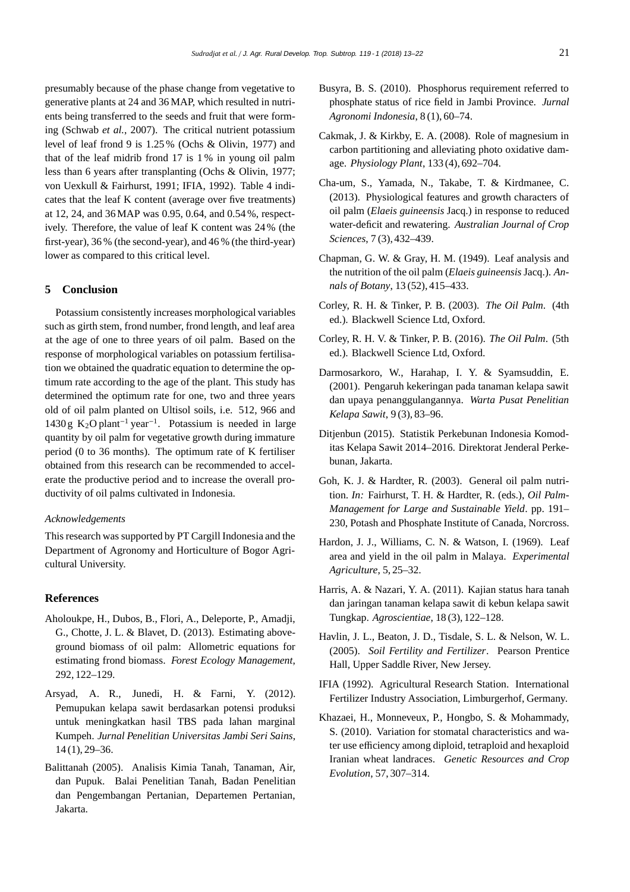presumably because of the phase change from vegetative to generative plants at 24 and 36 MAP, which resulted in nutrients being transferred to the seeds and fruit that were forming (Schwab *et al.*, 2007). The critical nutrient potassium level of leaf frond 9 is 1.25 % (Ochs & Olivin, 1977) and that of the leaf midrib frond 17 is 1 % in young oil palm less than 6 years after transplanting (Ochs & Olivin, 1977; von Uexkull & Fairhurst, 1991; IFIA, 1992). Table 4 indicates that the leaf K content (average over five treatments) at 12, 24, and 36MAP was 0.95, 0.64, and 0.54 %, respectively. Therefore, the value of leaf K content was 24 % (the first-year), 36 % (the second-year), and 46 % (the third-year) lower as compared to this critical level.

# **5 Conclusion**

Potassium consistently increases morphological variables such as girth stem, frond number, frond length, and leaf area at the age of one to three years of oil palm. Based on the response of morphological variables on potassium fertilisation we obtained the quadratic equation to determine the optimum rate according to the age of the plant. This study has determined the optimum rate for one, two and three years old of oil palm planted on Ultisol soils, i.e. 512, 966 and 1430 g K<sub>2</sub>O plant<sup>-1</sup> year<sup>-1</sup>. Potassium is needed in large quantity by oil palm for vegetative growth during immature period (0 to 36 months). The optimum rate of K fertiliser obtained from this research can be recommended to accelerate the productive period and to increase the overall productivity of oil palms cultivated in Indonesia.

#### *Acknowledgements*

This research was supported by PT Cargill Indonesia and the Department of Agronomy and Horticulture of Bogor Agricultural University.

# **References**

- Aholoukpe, H., Dubos, B., Flori, A., Deleporte, P., Amadji, G., Chotte, J. L. & Blavet, D. (2013). Estimating aboveground biomass of oil palm: Allometric equations for estimating frond biomass. *Forest Ecology Management*, 292, 122–129.
- Arsyad, A. R., Junedi, H. & Farni, Y. (2012). Pemupukan kelapa sawit berdasarkan potensi produksi untuk meningkatkan hasil TBS pada lahan marginal Kumpeh. *Jurnal Penelitian Universitas Jambi Seri Sains*, 14 (1), 29–36.
- Balittanah (2005). Analisis Kimia Tanah, Tanaman, Air, dan Pupuk. Balai Penelitian Tanah, Badan Penelitian dan Pengembangan Pertanian, Departemen Pertanian, Jakarta.
- Busyra, B. S. (2010). Phosphorus requirement referred to phosphate status of rice field in Jambi Province. *Jurnal Agronomi Indonesia*, 8 (1), 60–74.
- Cakmak, J. & Kirkby, E. A. (2008). Role of magnesium in carbon partitioning and alleviating photo oxidative damage. *Physiology Plant*, 133 (4), 692–704.
- Cha-um, S., Yamada, N., Takabe, T. & Kirdmanee, C. (2013). Physiological features and growth characters of oil palm (*Elaeis guineensis* Jacq.) in response to reduced water-deficit and rewatering. *Australian Journal of Crop Sciences*, 7 (3), 432–439.
- Chapman, G. W. & Gray, H. M. (1949). Leaf analysis and the nutrition of the oil palm (*Elaeis guineensis*Jacq.). *Annals of Botany*, 13 (52), 415–433.
- Corley, R. H. & Tinker, P. B. (2003). *The Oil Palm*. (4th ed.). Blackwell Science Ltd, Oxford.
- Corley, R. H. V. & Tinker, P. B. (2016). *The Oil Palm*. (5th ed.). Blackwell Science Ltd, Oxford.
- Darmosarkoro, W., Harahap, I. Y. & Syamsuddin, E. (2001). Pengaruh kekeringan pada tanaman kelapa sawit dan upaya penanggulangannya. *Warta Pusat Penelitian Kelapa Sawit*, 9 (3), 83–96.
- Ditjenbun (2015). Statistik Perkebunan Indonesia Komoditas Kelapa Sawit 2014–2016. Direktorat Jenderal Perkebunan, Jakarta.
- Goh, K. J. & Hardter, R. (2003). General oil palm nutrition. *In:* Fairhurst, T. H. & Hardter, R. (eds.), *Oil Palm-Management for Large and Sustainable Yield*. pp. 191– 230, Potash and Phosphate Institute of Canada, Norcross.
- Hardon, J. J., Williams, C. N. & Watson, I. (1969). Leaf area and yield in the oil palm in Malaya. *Experimental Agriculture*, 5, 25–32.
- Harris, A. & Nazari, Y. A. (2011). Kajian status hara tanah dan jaringan tanaman kelapa sawit di kebun kelapa sawit Tungkap. *Agroscientiae*, 18 (3), 122–128.
- Havlin, J. L., Beaton, J. D., Tisdale, S. L. & Nelson, W. L. (2005). *Soil Fertility and Fertilizer*. Pearson Prentice Hall, Upper Saddle River, New Jersey.
- IFIA (1992). Agricultural Research Station. International Fertilizer Industry Association, Limburgerhof, Germany.
- Khazaei, H., Monneveux, P., Hongbo, S. & Mohammady, S. (2010). Variation for stomatal characteristics and water use efficiency among diploid, tetraploid and hexaploid Iranian wheat landraces. *Genetic Resources and Crop Evolution*, 57, 307–314.